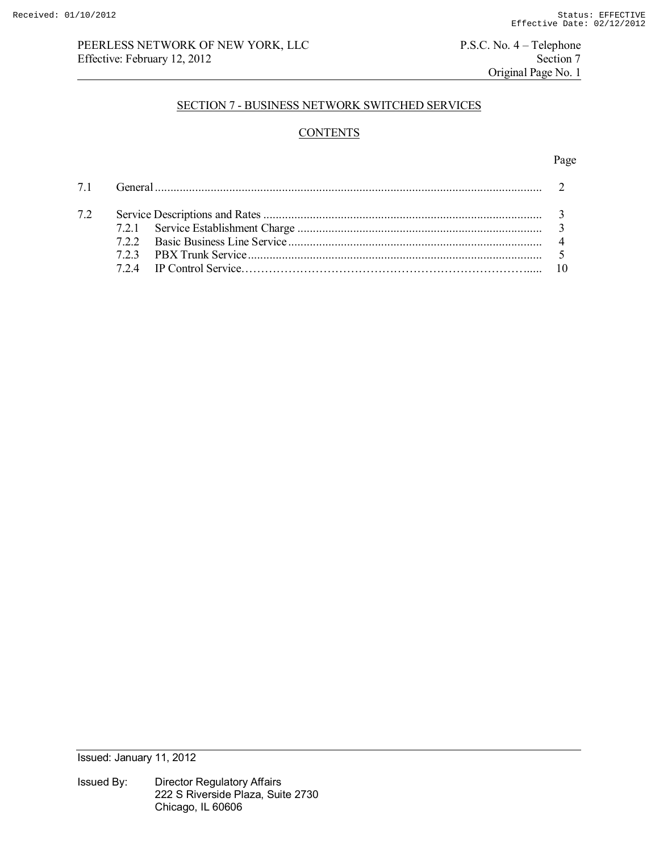# PEERLESS NETWORK OF NEW YORK, LLC<br>
Effective: February 12, 2012<br>
Section 7 Effective: February 12, 2012

Original Page No. 1

## SECTION 7 - BUSINESS NETWORK SWITCHED SERVICES

# **CONTENTS**

#### Page **Page**

| 72 |  |  |
|----|--|--|
|    |  |  |
|    |  |  |
|    |  |  |
|    |  |  |

Issued: January 11, 2012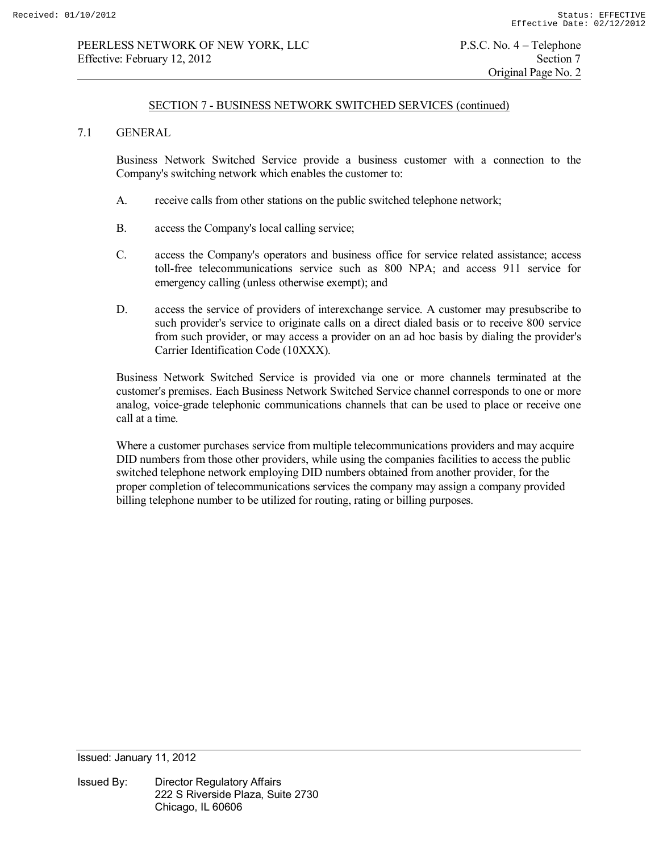### SECTION 7 - BUSINESS NETWORK SWITCHED SERVICES (continued)

### 7.1 GENERAL

 Business Network Switched Service provide a business customer with a connection to the Company's switching network which enables the customer to:

- A. receive calls from other stations on the public switched telephone network;
- B. access the Company's local calling service;
- C. access the Company's operators and business office for service related assistance; access toll-free telecommunications service such as 800 NPA; and access 911 service for emergency calling (unless otherwise exempt); and
- D. access the service of providers of interexchange service. A customer may presubscribe to such provider's service to originate calls on a direct dialed basis or to receive 800 service from such provider, or may access a provider on an ad hoc basis by dialing the provider's Carrier Identification Code (10XXX).

 Business Network Switched Service is provided via one or more channels terminated at the customer's premises. Each Business Network Switched Service channel corresponds to one or more analog, voice-grade telephonic communications channels that can be used to place or receive one call at a time.

Where a customer purchases service from multiple telecommunications providers and may acquire DID numbers from those other providers, while using the companies facilities to access the public switched telephone network employing DID numbers obtained from another provider, for the proper completion of telecommunications services the company may assign a company provided billing telephone number to be utilized for routing, rating or billing purposes.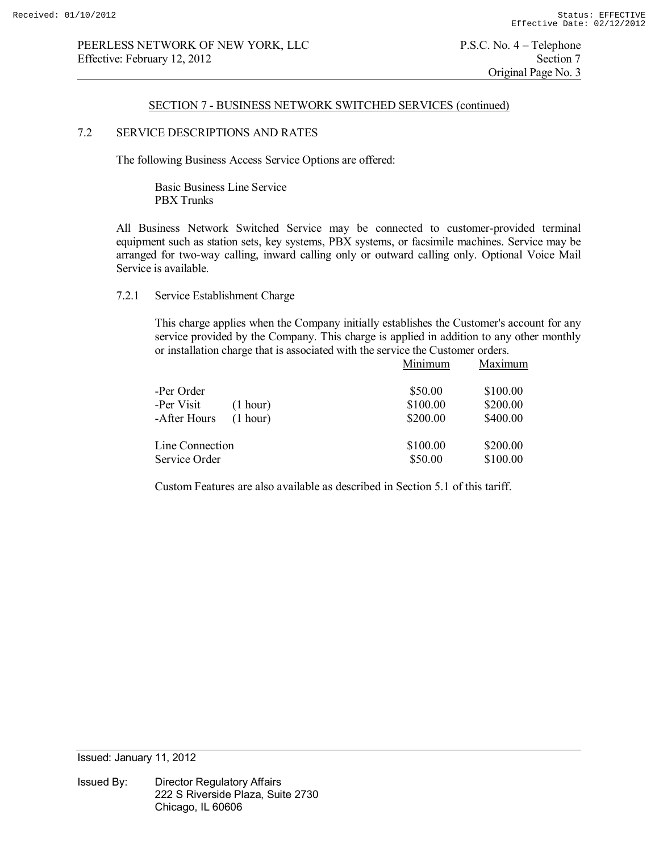## SECTION 7 - BUSINESS NETWORK SWITCHED SERVICES (continued)

# 7.2 SERVICE DESCRIPTIONS AND RATES

The following Business Access Service Options are offered:

 Basic Business Line Service PBX Trunks

 All Business Network Switched Service may be connected to customer-provided terminal equipment such as station sets, key systems, PBX systems, or facsimile machines. Service may be arranged for two-way calling, inward calling only or outward calling only. Optional Voice Mail Service is available.

## 7.2.1 Service Establishment Charge

This charge applies when the Company initially establishes the Customer's account for any service provided by the Company. This charge is applied in addition to any other monthly or installation charge that is associated with the service the Customer orders.

|                 |          | Minimum  | Maximum  |
|-----------------|----------|----------|----------|
| -Per Order      |          | \$50.00  | \$100.00 |
| -Per Visit      | (1 hour) | \$100.00 | \$200.00 |
| -After Hours    | (1 hour) | \$200.00 | \$400.00 |
| Line Connection |          | \$100.00 | \$200.00 |
| Service Order   |          | \$50.00  | \$100.00 |

Custom Features are also available as described in Section 5.1 of this tariff.

Issued: January 11, 2012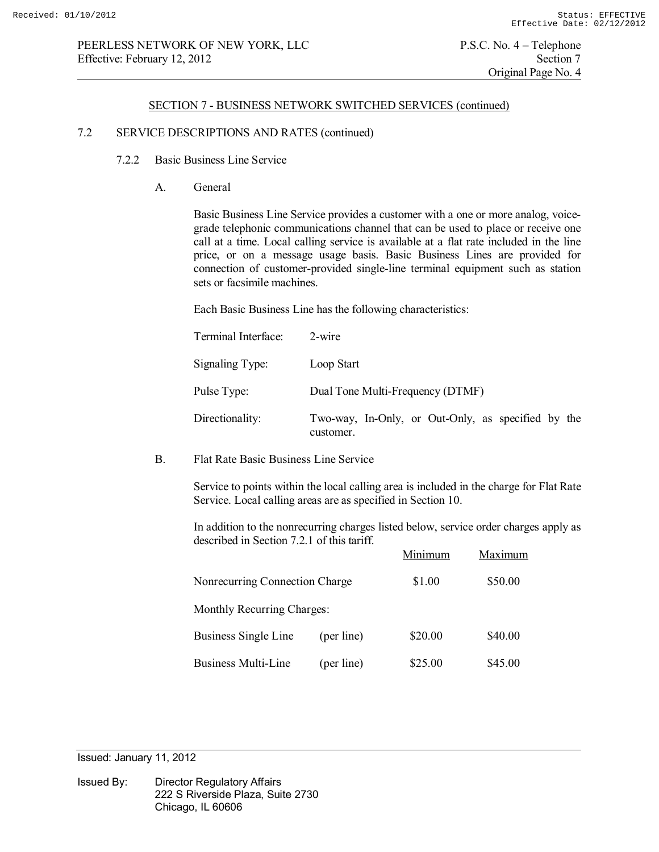### SECTION 7 - BUSINESS NETWORK SWITCHED SERVICES (continued)

## 7.2 SERVICE DESCRIPTIONS AND RATES (continued)

- 7.2.2 Basic Business Line Service
	- A. General

 Basic Business Line Service provides a customer with a one or more analog, voicegrade telephonic communications channel that can be used to place or receive one call at a time. Local calling service is available at a flat rate included in the line price, or on a message usage basis. Basic Business Lines are provided for connection of customer-provided single-line terminal equipment such as station sets or facsimile machines.

Each Basic Business Line has the following characteristics:

| Terminal Interface: | 2-wire                                                          |
|---------------------|-----------------------------------------------------------------|
| Signaling Type:     | Loop Start                                                      |
| Pulse Type:         | Dual Tone Multi-Frequency (DTMF)                                |
| Directionality:     | Two-way, In-Only, or Out-Only, as specified by the<br>customer. |

B. Flat Rate Basic Business Line Service

Service to points within the local calling area is included in the charge for Flat Rate Service. Local calling areas are as specified in Section 10.

In addition to the nonrecurring charges listed below, service order charges apply as described in Section 7.2.1 of this tariff.

|                                |            | Minimum | Maximum |
|--------------------------------|------------|---------|---------|
| Nonrecurring Connection Charge |            | \$1.00  | \$50.00 |
| Monthly Recurring Charges:     |            |         |         |
| Business Single Line           | (per line) | \$20.00 | \$40.00 |
| <b>Business Multi-Line</b>     | (per line) | \$25.00 | \$45.00 |

Issued: January 11, 2012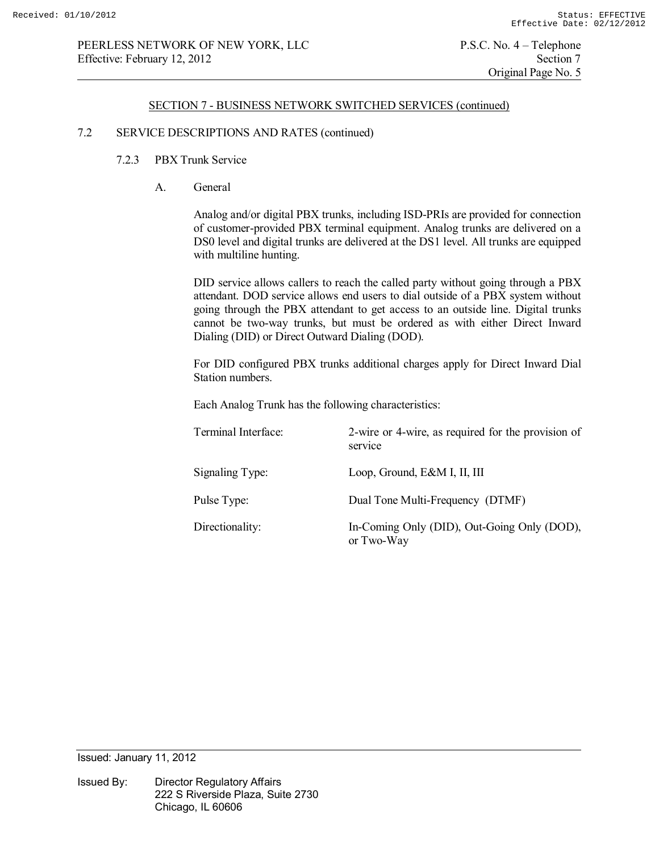### SECTION 7 - BUSINESS NETWORK SWITCHED SERVICES (continued)

## 7.2 SERVICE DESCRIPTIONS AND RATES (continued)

- 7.2.3 PBX Trunk Service
	- A. General

 Analog and/or digital PBX trunks, including ISD-PRIs are provided for connection of customer-provided PBX terminal equipment. Analog trunks are delivered on a DS0 level and digital trunks are delivered at the DS1 level. All trunks are equipped with multiline hunting.

 DID service allows callers to reach the called party without going through a PBX attendant. DOD service allows end users to dial outside of a PBX system without going through the PBX attendant to get access to an outside line. Digital trunks cannot be two-way trunks, but must be ordered as with either Direct Inward Dialing (DID) or Direct Outward Dialing (DOD).

 For DID configured PBX trunks additional charges apply for Direct Inward Dial Station numbers.

Each Analog Trunk has the following characteristics:

| Terminal Interface: | 2-wire or 4-wire, as required for the provision of<br>service |
|---------------------|---------------------------------------------------------------|
| Signaling Type:     | Loop, Ground, E&M I, II, III                                  |
| Pulse Type:         | Dual Tone Multi-Frequency (DTMF)                              |
| Directionality:     | In-Coming Only (DID), Out-Going Only (DOD),<br>or Two-Way     |

Issued: January 11, 2012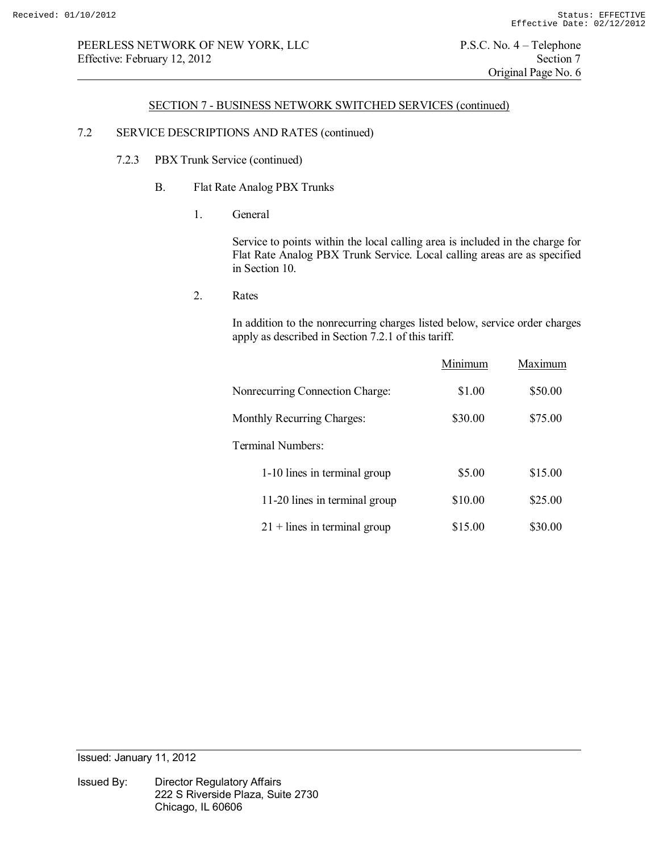## SECTION 7 - BUSINESS NETWORK SWITCHED SERVICES (continued)

# 7.2 SERVICE DESCRIPTIONS AND RATES (continued)

- 7.2.3 PBX Trunk Service (continued)
	- B. Flat Rate Analog PBX Trunks
		- 1. General

 Service to points within the local calling area is included in the charge for Flat Rate Analog PBX Trunk Service. Local calling areas are as specified in Section 10.

2. Rates

 In addition to the nonrecurring charges listed below, service order charges apply as described in Section 7.2.1 of this tariff.

|                                 | Minimum | Maximum |
|---------------------------------|---------|---------|
| Nonrecurring Connection Charge: | \$1.00  | \$50.00 |
| Monthly Recurring Charges:      | \$30.00 | \$75.00 |
| Terminal Numbers:               |         |         |
| 1-10 lines in terminal group    | \$5.00  | \$15.00 |
| 11-20 lines in terminal group   | \$10.00 | \$25.00 |
| $21 +$ lines in terminal group  | \$15.00 | \$30.00 |

Issued: January 11, 2012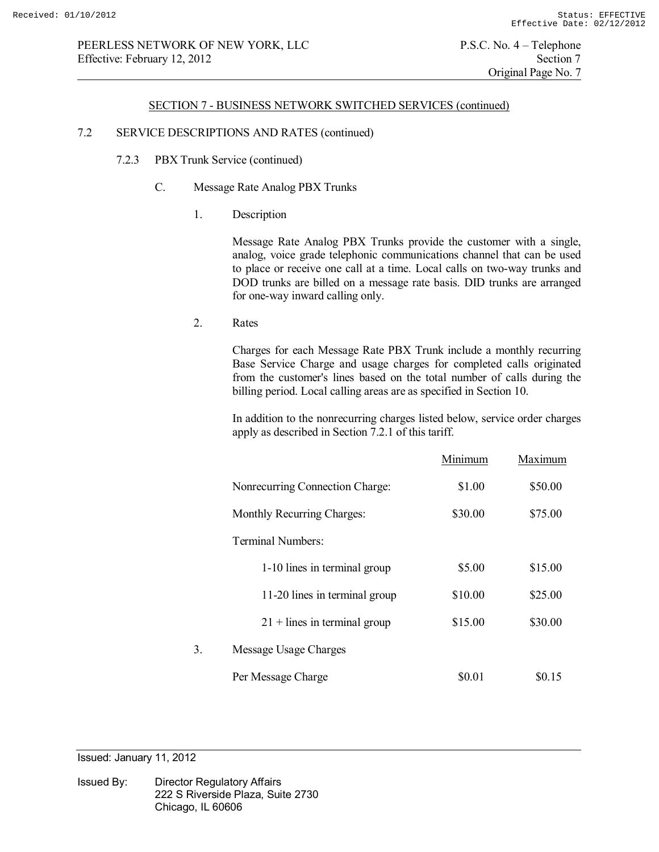#### SECTION 7 - BUSINESS NETWORK SWITCHED SERVICES (continued)

## 7.2 SERVICE DESCRIPTIONS AND RATES (continued)

- 7.2.3 PBX Trunk Service (continued)
	- C. Message Rate Analog PBX Trunks
		- 1. Description

 Message Rate Analog PBX Trunks provide the customer with a single, analog, voice grade telephonic communications channel that can be used to place or receive one call at a time. Local calls on two-way trunks and DOD trunks are billed on a message rate basis. DID trunks are arranged for one-way inward calling only.

2. Rates

 Charges for each Message Rate PBX Trunk include a monthly recurring Base Service Charge and usage charges for completed calls originated from the customer's lines based on the total number of calls during the billing period. Local calling areas are as specified in Section 10.

 In addition to the nonrecurring charges listed below, service order charges apply as described in Section 7.2.1 of this tariff.

|    |                                 | Minimum | Maximum |
|----|---------------------------------|---------|---------|
|    | Nonrecurring Connection Charge: | \$1.00  | \$50.00 |
|    | Monthly Recurring Charges:      | \$30.00 | \$75.00 |
|    | Terminal Numbers:               |         |         |
|    | 1-10 lines in terminal group    | \$5.00  | \$15.00 |
|    | 11-20 lines in terminal group   | \$10.00 | \$25.00 |
|    | $21 +$ lines in terminal group  | \$15.00 | \$30.00 |
| 3. | Message Usage Charges           |         |         |
|    | Per Message Charge              | \$0.01  | \$0.15  |

Issued: January 11, 2012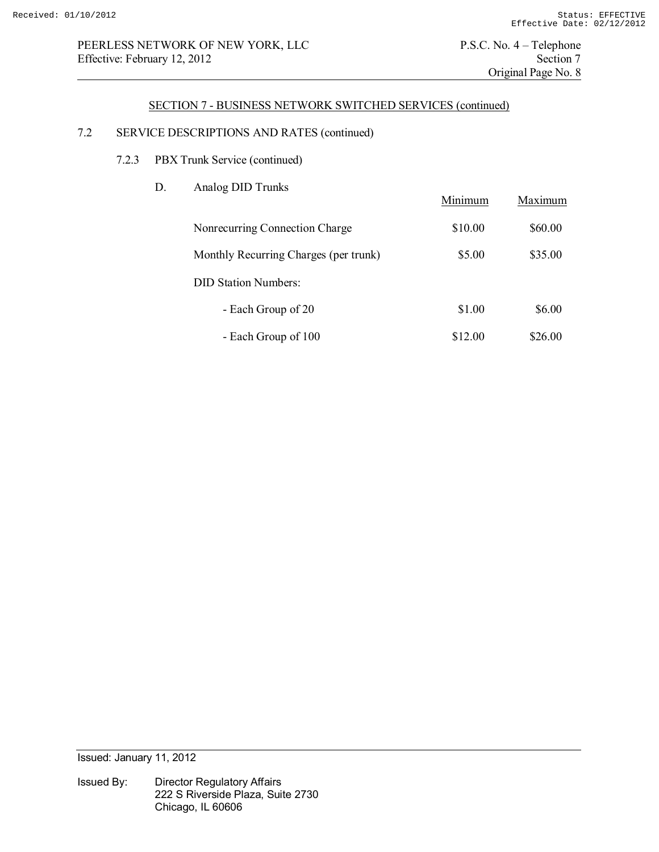# PEERLESS NETWORK OF NEW YORK, LLC P.S.C. No. 4 – Telephone<br>Effective: February 12, 2012 Section 7 Effective: February 12, 2012

Original Page No. 8

### SECTION 7 - BUSINESS NETWORK SWITCHED SERVICES (continued)

# 7.2 SERVICE DESCRIPTIONS AND RATES (continued)

- 7.2.3 PBX Trunk Service (continued)
	- D. Analog DID Trunks

|                                       | Minimum | Maximum |
|---------------------------------------|---------|---------|
| Nonrecurring Connection Charge        | \$10.00 | \$60.00 |
| Monthly Recurring Charges (per trunk) | \$5.00  | \$35.00 |
| <b>DID Station Numbers:</b>           |         |         |
| - Each Group of 20                    | \$1.00  | \$6.00  |
| - Each Group of 100                   | \$12.00 | \$26.00 |

Issued: January 11, 2012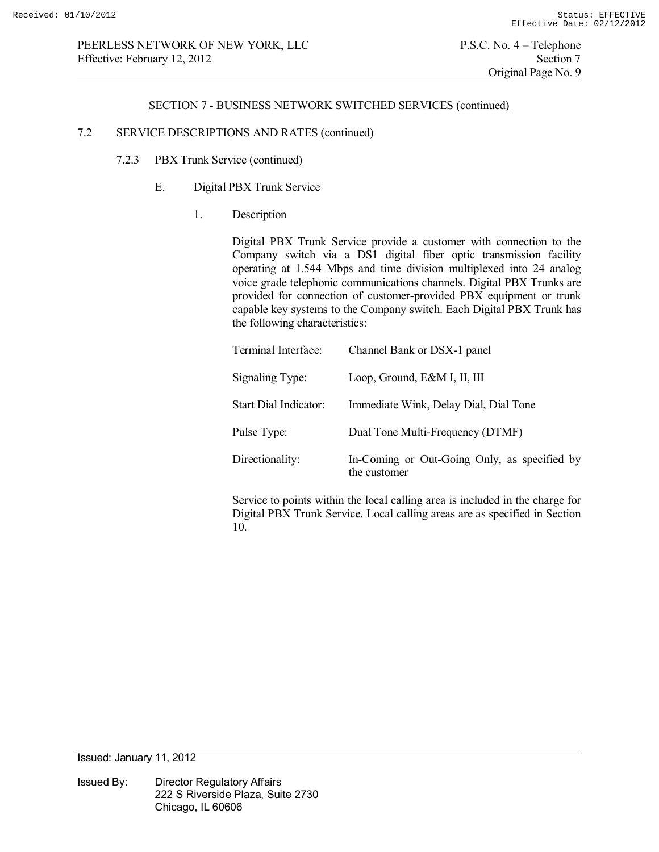## SECTION 7 - BUSINESS NETWORK SWITCHED SERVICES (continued)

## 7.2 SERVICE DESCRIPTIONS AND RATES (continued)

- 7.2.3 PBX Trunk Service (continued)
	- E. Digital PBX Trunk Service
		- 1. Description

 Digital PBX Trunk Service provide a customer with connection to the Company switch via a DS1 digital fiber optic transmission facility operating at 1.544 Mbps and time division multiplexed into 24 analog voice grade telephonic communications channels. Digital PBX Trunks are provided for connection of customer-provided PBX equipment or trunk capable key systems to the Company switch. Each Digital PBX Trunk has the following characteristics:

| Terminal Interface:   | Channel Bank or DSX-1 panel                                  |
|-----------------------|--------------------------------------------------------------|
| Signaling Type:       | Loop, Ground, E&M I, II, III                                 |
| Start Dial Indicator: | Immediate Wink, Delay Dial, Dial Tone                        |
| Pulse Type:           | Dual Tone Multi-Frequency (DTMF)                             |
| Directionality:       | In-Coming or Out-Going Only, as specified by<br>the customer |

 Service to points within the local calling area is included in the charge for Digital PBX Trunk Service. Local calling areas are as specified in Section 10.

Issued: January 11, 2012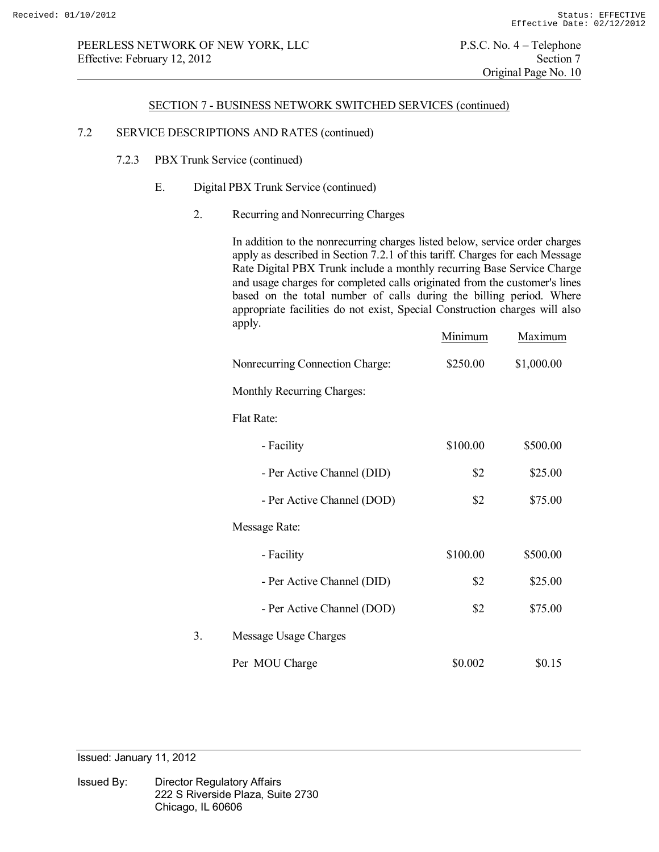#### SECTION 7 - BUSINESS NETWORK SWITCHED SERVICES (continued)

## 7.2 SERVICE DESCRIPTIONS AND RATES (continued)

- 7.2.3 PBX Trunk Service (continued)
	- E. Digital PBX Trunk Service (continued)
		- 2. Recurring and Nonrecurring Charges

 In addition to the nonrecurring charges listed below, service order charges apply as described in Section 7.2.1 of this tariff. Charges for each Message Rate Digital PBX Trunk include a monthly recurring Base Service Charge and usage charges for completed calls originated from the customer's lines based on the total number of calls during the billing period. Where appropriate facilities do not exist, Special Construction charges will also apply.

|    |                                 | Minimum  | Maximum    |
|----|---------------------------------|----------|------------|
|    | Nonrecurring Connection Charge: | \$250.00 | \$1,000.00 |
|    | Monthly Recurring Charges:      |          |            |
|    | Flat Rate:                      |          |            |
|    | - Facility                      | \$100.00 | \$500.00   |
|    | - Per Active Channel (DID)      | \$2      | \$25.00    |
|    | - Per Active Channel (DOD)      | \$2      | \$75.00    |
|    | Message Rate:                   |          |            |
|    | - Facility                      | \$100.00 | \$500.00   |
|    | - Per Active Channel (DID)      | \$2      | \$25.00    |
|    | - Per Active Channel (DOD)      | \$2      | \$75.00    |
| 3. | Message Usage Charges           |          |            |
|    | Per MOU Charge                  | \$0.002  | \$0.15     |

Issued: January 11, 2012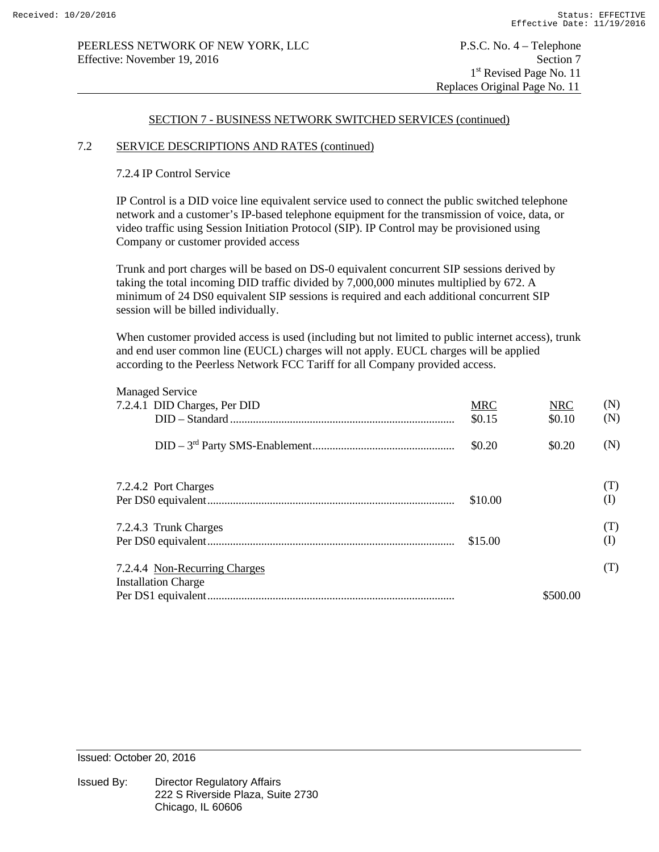### SECTION 7 - BUSINESS NETWORK SWITCHED SERVICES (continued)

### 7.2 SERVICE DESCRIPTIONS AND RATES (continued)

### 7.2.4 IP Control Service

IP Control is a DID voice line equivalent service used to connect the public switched telephone network and a customer's IP-based telephone equipment for the transmission of voice, data, or video traffic using Session Initiation Protocol (SIP). IP Control may be provisioned using Company or customer provided access

Trunk and port charges will be based on DS-0 equivalent concurrent SIP sessions derived by taking the total incoming DID traffic divided by 7,000,000 minutes multiplied by 672. A minimum of 24 DS0 equivalent SIP sessions is required and each additional concurrent SIP session will be billed individually.

When customer provided access is used (including but not limited to public internet access), trunk and end user common line (EUCL) charges will not apply. EUCL charges will be applied according to the Peerless Network FCC Tariff for all Company provided access.

| <b>Managed Service</b>        |            |            |          |
|-------------------------------|------------|------------|----------|
| 7.2.4.1 DID Charges, Per DID  | <b>MRC</b> | <b>NRC</b> | (N)      |
|                               | \$0.15     | \$0.10     | (N)      |
|                               | \$0.20     | \$0.20     | (N)      |
| 7.2.4.2 Port Charges          |            |            | (T)      |
|                               | \$10.00    |            | (I)      |
| 7.2.4.3 Trunk Charges         |            |            | (T)      |
|                               | \$15.00    |            | $\rm(I)$ |
| 7.2.4.4 Non-Recurring Charges |            |            | (T)      |
| <b>Installation Charge</b>    |            |            |          |
|                               |            | \$500.00   |          |
|                               |            |            |          |

Issued: October 20, 2016